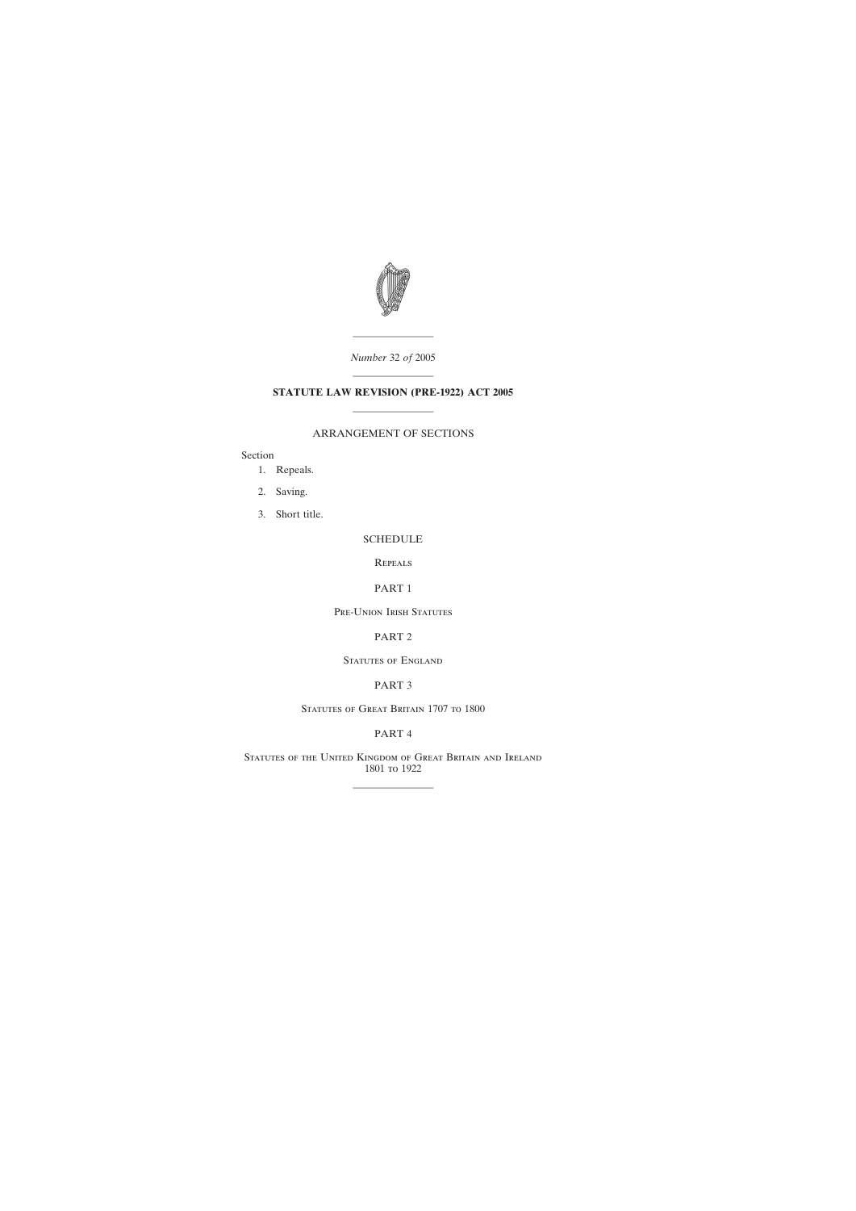

———————— *Number* 32 *of* 2005

# ———————— **STATUTE LAW REVISION (PRE-1922) ACT 2005** ————————

## ARRANGEMENT OF SECTIONS

Section

- [1. Repeals.](#page-1-0)
- [2. Saving.](#page-1-0)
- [3. Short title.](#page-1-0)

### [SCHEDULE](#page-2-0)

**REPEALS** 

## PART 1

Pre-Union Irish Statutes

#### PART 2

STATUTES OF ENGLAND

## PART 3

STATUTES OF GREAT BRITAIN 1707 TO 1800

## PART 4

Statutes of the United Kingdom of Great Britain and Ireland 1801 to 1922

————————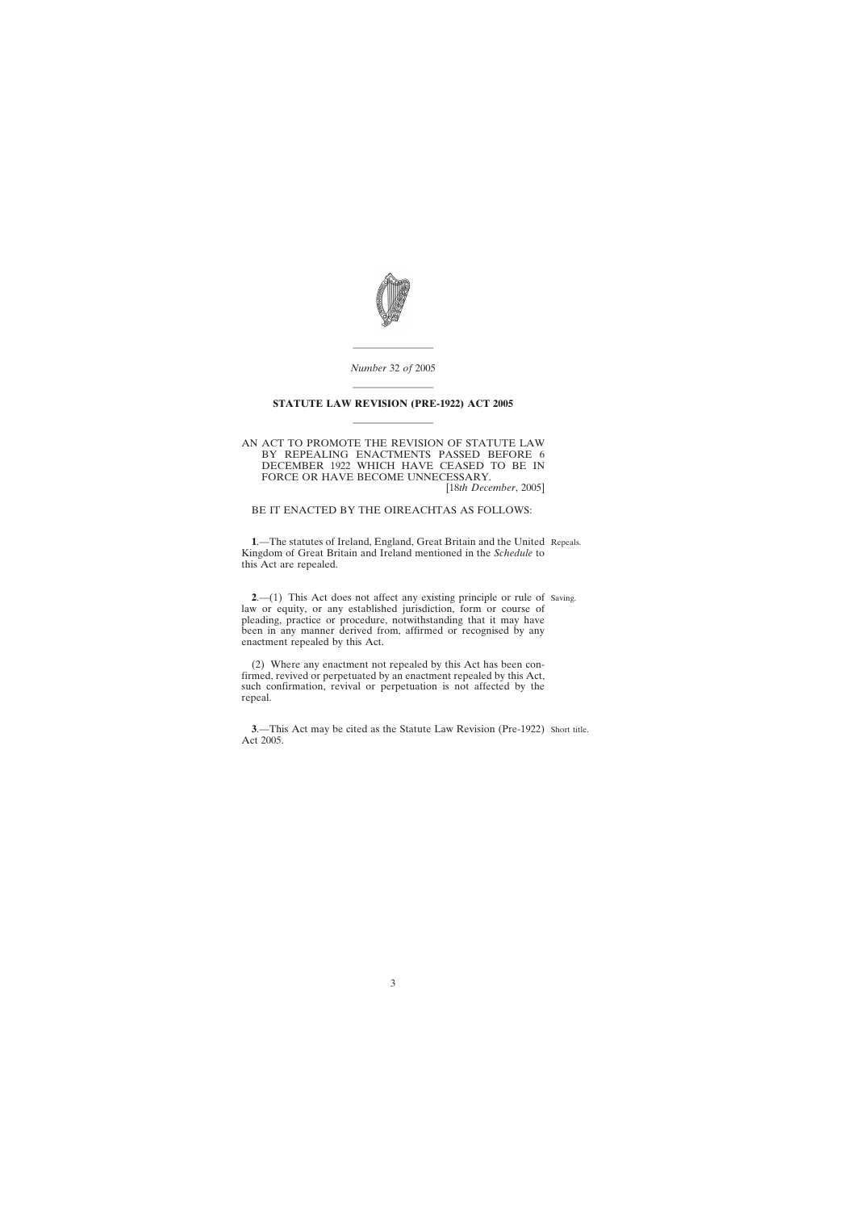

*Number* 32 *of* 2005

————————

# <span id="page-1-0"></span>———————— **STATUTE LAW REVISION (PRE-1922) ACT 2005** ————————

#### AN ACT TO PROMOTE THE REVISION OF STATUTE LAW BY REPEALING ENACTMENTS PASSED BEFORE 6 DECEMBER 1922 WHICH HAVE CEASED TO BE IN FORCE OR HAVE BECOME UNNECESSARY. [18*th December*, 2005]

BE IT ENACTED BY THE OIREACHTAS AS FOLLOWS:

**1**.—The statutes of Ireland, England, Great Britain and the United Repeals. Kingdom of Great Britain and Ireland mentioned in the *Schedule* to this Act are repealed.

**2.**—(1) This Act does not affect any existing principle or rule of Saving. law or equity, or any established jurisdiction, form or course of pleading, practice or procedure, notwithstanding that it may have been in any manner derived from, affirmed or recognised by any enactment repealed by this Act.

(2) Where any enactment not repealed by this Act has been confirmed, revived or perpetuated by an enactment repealed by this Act, such confirmation, revival or perpetuation is not affected by the repeal.

**3.**—This Act may be cited as the Statute Law Revision (Pre-1922) Short title. Act 2005.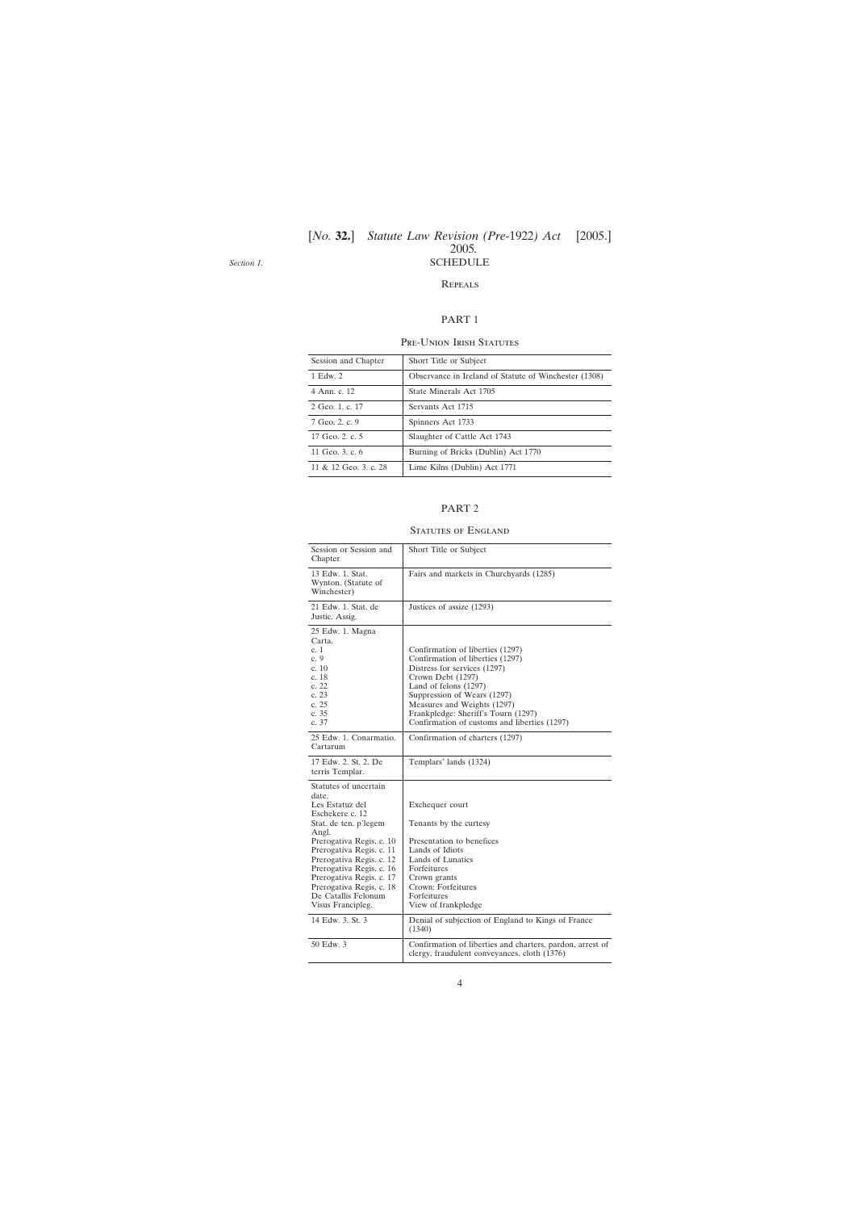#### [*No.* **32.**] [2005.] *Statute Law Revision (Pre-*1922*) Act* 2005*.* SCHEDULE

<span id="page-2-0"></span>*Section 1.*

#### **REPEALS**

#### PART 1

#### Pre-Union Irish Statutes

| Session and Chapter   | Short Title or Subject                                |
|-----------------------|-------------------------------------------------------|
| 1 Edw. 2              | Observance in Ireland of Statute of Winchester (1308) |
| 4 Ann. c. 12          | State Minerals Act 1705                               |
| 2 Geo. 1, c. 17       | Servants Act 1715                                     |
| 7 Geo. 2. c. 9        | Spinners Act 1733                                     |
| 17 Geo. 2. c. 5       | Slaughter of Cattle Act 1743                          |
| 11 Geo. 3, c. 6       | Burning of Bricks (Dublin) Act 1770                   |
| 11 & 12 Geo. 3, c. 28 | Lime Kilns (Dublin) Act 1771                          |

#### PART 2

## STATUTES OF ENGLAND

| Session or Session and<br>Chapter                                                                                                                                                                                                                                                                                          | Short Title or Subject                                                                                                                                                                                                                                                                                    |
|----------------------------------------------------------------------------------------------------------------------------------------------------------------------------------------------------------------------------------------------------------------------------------------------------------------------------|-----------------------------------------------------------------------------------------------------------------------------------------------------------------------------------------------------------------------------------------------------------------------------------------------------------|
| 13 Edw. 1. Stat.<br>Wynton. (Statute of<br>Winchester)                                                                                                                                                                                                                                                                     | Fairs and markets in Churchyards (1285)                                                                                                                                                                                                                                                                   |
| 21 Edw. 1. Stat. de<br>Justic. Assig.                                                                                                                                                                                                                                                                                      | Justices of assize (1293)                                                                                                                                                                                                                                                                                 |
| 25 Edw. 1. Magna<br>Carta.<br>c. 1<br>c.9<br>c. 10<br>c. 18<br>c. 22<br>c. 23<br>c. 25<br>c. 35<br>c.37                                                                                                                                                                                                                    | Confirmation of liberties (1297)<br>Confirmation of liberties (1297)<br>Distress for services (1297)<br>Crown Debt (1297)<br>Land of felons $(1297)$<br>Suppression of Wears (1297)<br>Measures and Weights (1297)<br>Frankpledge: Sheriff's Tourn (1297)<br>Confirmation of customs and liberties (1297) |
| 25 Edw. 1. Conarmatio.<br>Cartarum                                                                                                                                                                                                                                                                                         | Confirmation of charters (1297)                                                                                                                                                                                                                                                                           |
| 17 Edw. 2. St. 2. De<br>terris Templar.                                                                                                                                                                                                                                                                                    | Templars' lands (1324)                                                                                                                                                                                                                                                                                    |
| Statutes of uncertain<br>date.<br>Les Estatuz del<br>Eschekere c. 12<br>Stat. de ten. p'legem<br>Angl.<br>Prerogativa Regis. c. 10<br>Prerogativa Regis. c. 11<br>Prerogativa Regis. c. 12<br>Prerogativa Regis. c. 16<br>Prerogativa Regis. c. 17<br>Prerogativa Regis. c. 18<br>De Catallis Felonum<br>Visus Francipleg. | Exchequer court<br>Tenants by the curtesy<br>Presentation to benefices<br>Lands of Idiots<br>Lands of Lunatics<br>Forfeitures<br>Crown grants<br>Crown: Forfeitures<br>Forfeitures<br>View of frankpledge                                                                                                 |
| 14 Edw. 3. St. 3                                                                                                                                                                                                                                                                                                           | Denial of subjection of England to Kings of France<br>(1340)                                                                                                                                                                                                                                              |
| 50 Edw. 3                                                                                                                                                                                                                                                                                                                  | Confirmation of liberties and charters, pardon, arrest of<br>clergy, fraudulent conveyances, cloth (1376)                                                                                                                                                                                                 |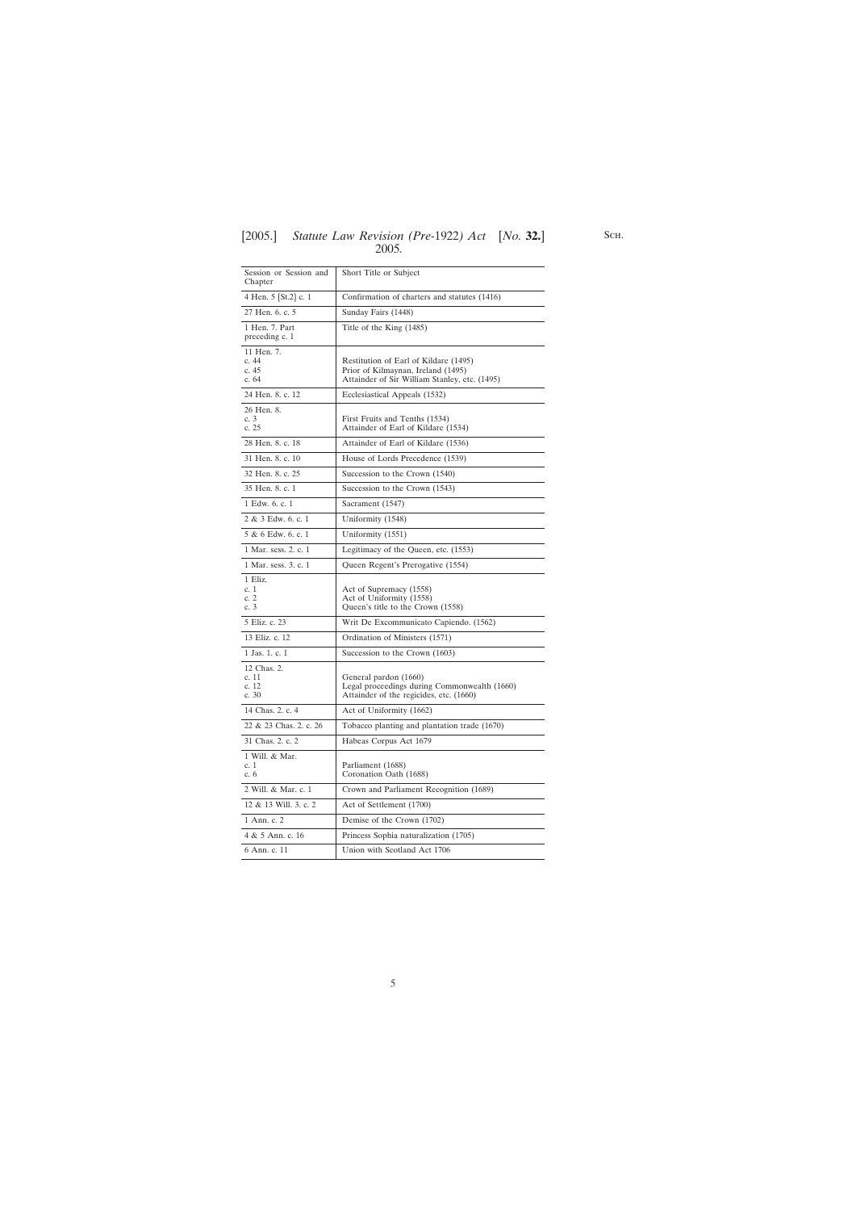| Session or Session and<br>Chapter        | Short Title or Subject                                                                                                       |
|------------------------------------------|------------------------------------------------------------------------------------------------------------------------------|
| 4 Hen. 5 [St.2] c. 1                     | Confirmation of charters and statutes (1416)                                                                                 |
| 27 Hen. 6. c. 5                          | Sunday Fairs (1448)                                                                                                          |
| 1 Hen. 7. Part<br>preceding c. 1         | Title of the King (1485)                                                                                                     |
| 11 Hen. 7.<br>c. 44<br>c. 45<br>c. 64    | Restitution of Earl of Kildare (1495)<br>Prior of Kilmaynan, Ireland (1495)<br>Attainder of Sir William Stanley, etc. (1495) |
| 24 Hen. 8. c. 12                         | Ecclesiastical Appeals (1532)                                                                                                |
| 26 Hen. 8.<br>c. 3<br>c. 25              | First Fruits and Tenths (1534)<br>Attainder of Earl of Kildare (1534)                                                        |
| 28 Hen. 8. c. 18                         | Attainder of Earl of Kildare (1536)                                                                                          |
| 31 Hen. 8. c. 10                         | House of Lords Precedence (1539)                                                                                             |
| 32 Hen. 8. c. 25                         | Succession to the Crown (1540)                                                                                               |
| 35 Hen. 8. c. 1                          | Succession to the Crown (1543)                                                                                               |
| 1 Edw. 6. c. 1                           | Sacrament (1547)                                                                                                             |
| 2 & 3 Edw. 6, c. 1                       | Uniformity (1548)                                                                                                            |
| 5 & 6 Edw. 6, c. 1                       | Uniformity (1551)                                                                                                            |
| 1 Mar. sess. 2. c. 1                     | Legitimacy of the Queen, etc. (1553)                                                                                         |
| 1 Mar. sess. 3. c. 1                     | Queen Regent's Prerogative (1554)                                                                                            |
| 1 Eliz.<br>c.1<br>c. 2<br>c. 3           | Act of Supremacy (1558)<br>Act of Uniformity (1558)<br>Queen's title to the Crown (1558)                                     |
| 5 Eliz. c. 23                            | Writ De Excommunicato Capiendo. (1562)                                                                                       |
| 13 Eliz. c. 12                           | Ordination of Ministers (1571)                                                                                               |
| 1 Jas. 1. c. 1                           | Succession to the Crown (1603)                                                                                               |
| 12 Chas. 2.<br>c. 11<br>c. 12<br>c. $30$ | General pardon (1660)<br>Legal proceedings during Commonwealth (1660)<br>Attainder of the regicides, etc. (1660)             |
| 14 Chas. 2. c. 4                         | Act of Uniformity (1662)                                                                                                     |
| 22 & 23 Chas. 2. c. 26                   | Tobacco planting and plantation trade (1670)                                                                                 |
| 31 Chas. 2. c. 2                         | Habeas Corpus Act 1679                                                                                                       |
| 1 Will. & Mar.<br>c. 1<br>c. 6           | Parliament (1688)<br>Coronation Oath (1688)                                                                                  |
| 2 Will. & Mar. c. 1                      | Crown and Parliament Recognition (1689)                                                                                      |
| 12 & 13 Will. 3. c. 2                    | Act of Settlement (1700)                                                                                                     |
| 1 Ann. c. 2                              | Demise of the Crown (1702)                                                                                                   |
| 4 & 5 Ann. c. 16                         | Princess Sophia naturalization (1705)                                                                                        |
| 6 Ann. c. 11                             | Union with Scotland Act 1706                                                                                                 |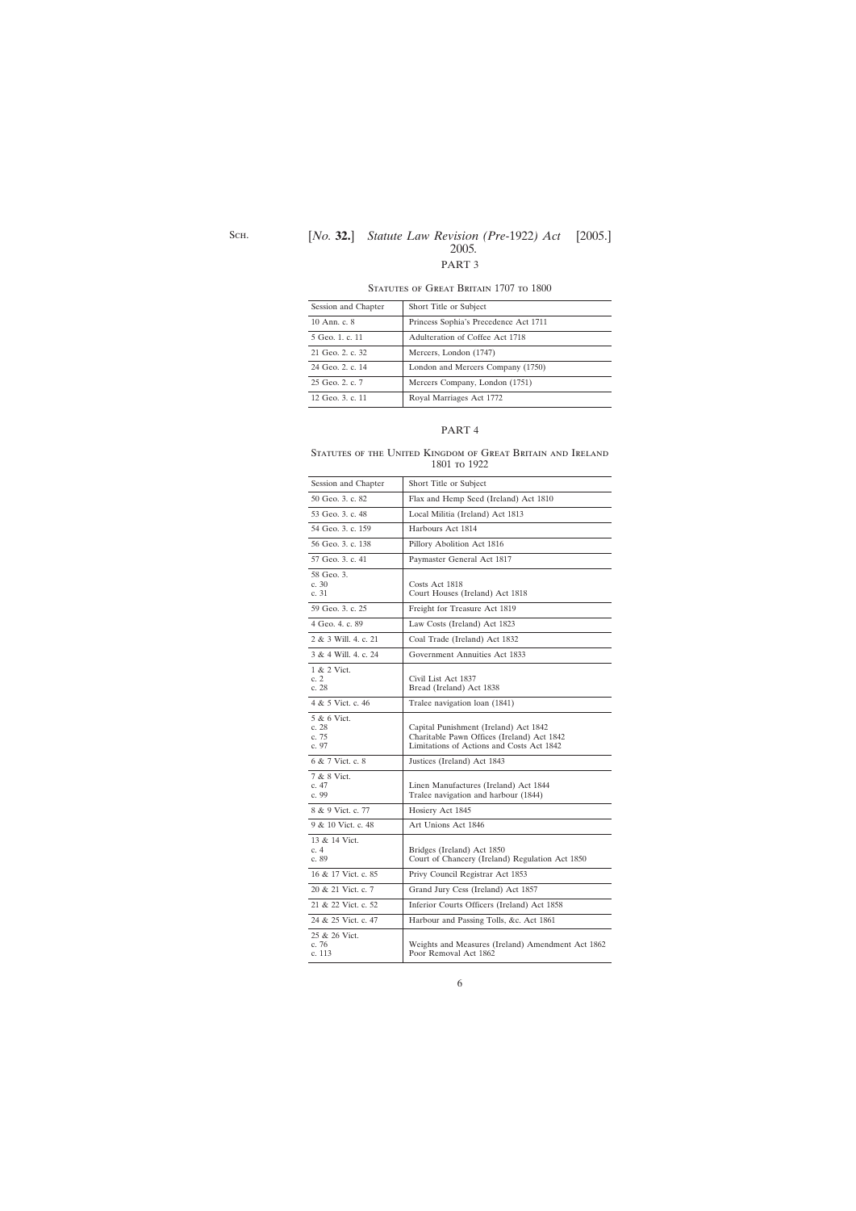## PART 3

| Session and Chapter | Short Title or Subject                |
|---------------------|---------------------------------------|
| 10 Ann. c. 8        | Princess Sophia's Precedence Act 1711 |
| 5 Geo. 1, c. 11     | Adulteration of Coffee Act 1718       |
| 21 Geo. 2. c. 32    | Mercers, London (1747)                |
| 24 Geo. 2. c. 14    | London and Mercers Company (1750)     |
| 25 Geo. 2. c. 7     | Mercers Company, London (1751)        |
| 12 Geo. 3. c. 11    | Royal Marriages Act 1772              |

#### STATUTES OF GREAT BRITAIN 1707 TO 1800

#### PART 4

Statutes of the United Kingdom of Great Britain and Ireland 1801 to 1922

| Session and Chapter                   | Short Title or Subject                                                                                                           |
|---------------------------------------|----------------------------------------------------------------------------------------------------------------------------------|
| 50 Geo. 3. c. 82                      | Flax and Hemp Seed (Ireland) Act 1810                                                                                            |
| 53 Geo. 3. c. 48                      | Local Militia (Ireland) Act 1813                                                                                                 |
| 54 Geo. 3. c. 159                     | Harbours Act 1814                                                                                                                |
| 56 Geo. 3. c. 138                     | Pillory Abolition Act 1816                                                                                                       |
| 57 Geo. 3. c. 41                      | Paymaster General Act 1817                                                                                                       |
| 58 Geo. 3.<br>c. $30$<br>c. 31        | Costs Act 1818<br>Court Houses (Ireland) Act 1818                                                                                |
| 59 Geo. 3. c. 25                      | Freight for Treasure Act 1819                                                                                                    |
| 4 Geo. 4. c. 89                       | Law Costs (Ireland) Act 1823                                                                                                     |
| 2 & 3 Will. 4. c. 21                  | Coal Trade (Ireland) Act 1832                                                                                                    |
| 3 & 4 Will, 4, c, 24                  | Government Annuities Act 1833                                                                                                    |
| 1 & 2 Vict.<br>c. 2<br>c. 28          | Civil List Act 1837<br>Bread (Ireland) Act 1838                                                                                  |
| 4 & 5 Vict. c. 46                     | Tralee navigation loan (1841)                                                                                                    |
| 5 & 6 Vict.<br>c.28<br>c. 75<br>c. 97 | Capital Punishment (Ireland) Act 1842<br>Charitable Pawn Offices (Ireland) Act 1842<br>Limitations of Actions and Costs Act 1842 |
| 6 & 7 Vict. c. 8                      | Justices (Ireland) Act 1843                                                                                                      |
| 7 & 8 Vict.<br>c. 47<br>c. 99         | Linen Manufactures (Ireland) Act 1844<br>Tralee navigation and harbour (1844)                                                    |
| 8 & 9 Vict. c. 77                     | Hosiery Act 1845                                                                                                                 |
| 9 & 10 Vict. c. 48                    | Art Unions Act 1846                                                                                                              |
| 13 & 14 Vict.<br>c. $4$<br>c. 89      | Bridges (Ireland) Act 1850<br>Court of Chancery (Ireland) Regulation Act 1850                                                    |
| 16 & 17 Vict. c. 85                   | Privy Council Registrar Act 1853                                                                                                 |
| 20 & 21 Vict. c. 7                    | Grand Jury Cess (Ireland) Act 1857                                                                                               |
| 21 & 22 Vict. c. 52                   | Inferior Courts Officers (Ireland) Act 1858                                                                                      |
| 24 & 25 Vict. c. 47                   | Harbour and Passing Tolls, &c. Act 1861                                                                                          |
| 25 & 26 Vict.<br>c. 76<br>c. 113      | Weights and Measures (Ireland) Amendment Act 1862<br>Poor Removal Act 1862                                                       |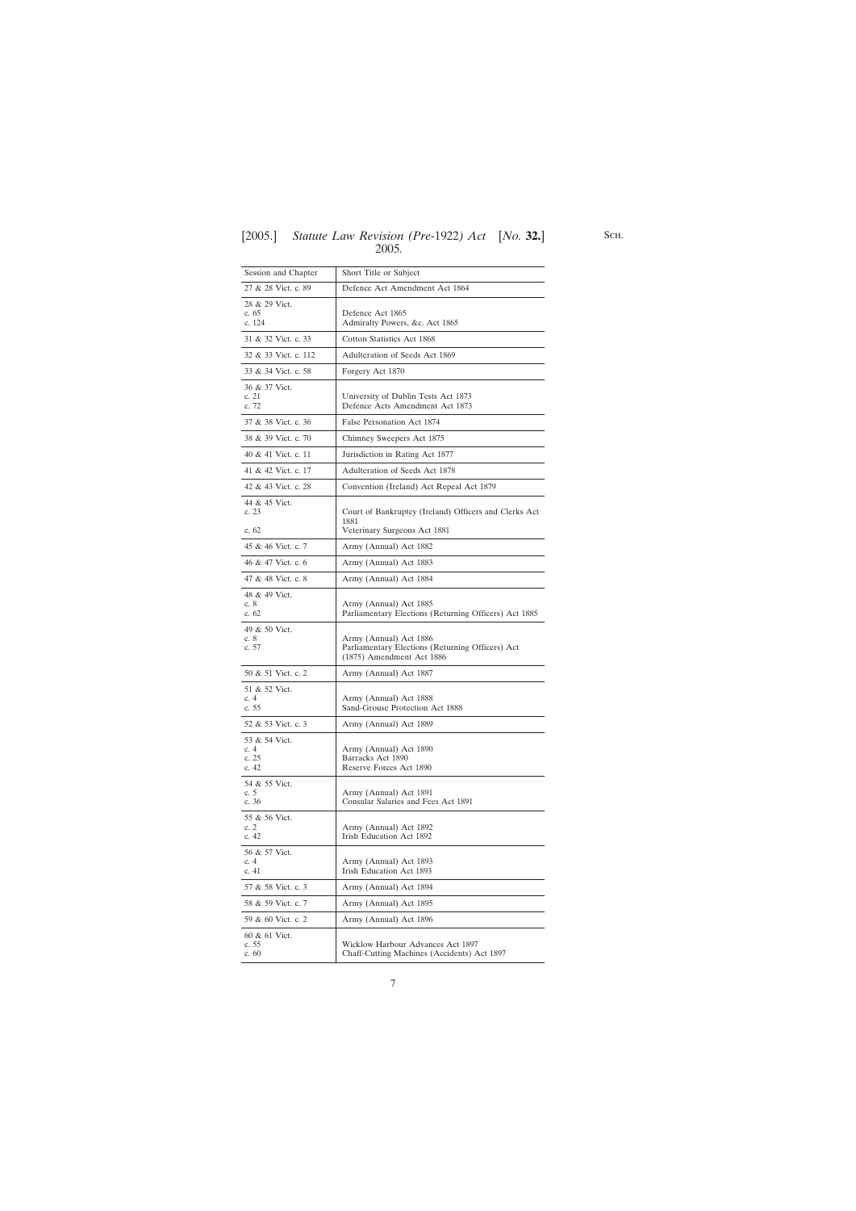| Session and Chapter                       | Short Title or Subject                                                                                  |
|-------------------------------------------|---------------------------------------------------------------------------------------------------------|
| 27 & 28 Vict. c. 89                       | Defence Act Amendment Act 1864                                                                          |
| 28 & 29 Vict.<br>c. 65<br>c. 124          | Defence Act 1865<br>Admiralty Powers, &c. Act 1865                                                      |
| 31 & 32 Vict. c. 33                       | Cotton Statistics Act 1868                                                                              |
| 32 & 33 Vict. c. 112                      | Adulteration of Seeds Act 1869                                                                          |
| 33 & 34 Vict. c. 58                       | Forgery Act 1870                                                                                        |
| 36 & 37 Vict.<br>c. 21<br>c. 72           | University of Dublin Tests Act 1873<br>Defence Acts Amendment Act 1873                                  |
| 37 & 38 Vict. c. 36                       | False Personation Act 1874                                                                              |
| 38 & 39 Vict. c. 70                       | Chimney Sweepers Act 1875                                                                               |
| 40 & 41 Vict. c. 11                       | Jurisdiction in Rating Act 1877                                                                         |
| 41 & 42 Vict. c. 17                       | Adulteration of Seeds Act 1878                                                                          |
| 42 & 43 Vict. c. 28                       | Convention (Ireland) Act Repeal Act 1879                                                                |
| 44 & 45 Vict.<br>c. 23<br>c. 62           | Court of Bankruptcy (Ireland) Officers and Clerks Act<br>1881<br>Veterinary Surgeons Act 1881           |
| 45 & 46 Vict. c. 7                        | Army (Annual) Act 1882                                                                                  |
| 46 & 47 Vict. c. 6                        | Army (Annual) Act 1883                                                                                  |
| 47 & 48 Vict. c. 8                        | Army (Annual) Act 1884                                                                                  |
| 48 & 49 Vict.<br>c. $8$<br>c. $62$        | Army (Annual) Act 1885<br>Parliamentary Elections (Returning Officers) Act 1885                         |
| 49 & 50 Vict.<br>c. $8$<br>c. 57          | Army (Annual) Act 1886<br>Parliamentary Elections (Returning Officers) Act<br>(1875) Amendment Act 1886 |
| 50 & 51 Vict. c. 2                        | Army (Annual) Act 1887                                                                                  |
| 51 & 52 Vict.<br>c. $4$<br>c. 55          | Army (Annual) Act 1888<br>Sand-Grouse Protection Act 1888                                               |
| 52 & 53 Vict. c. 3                        | Army (Annual) Act 1889                                                                                  |
| 53 & 54 Vict.<br>c. $4$<br>c. 25<br>c. 42 | Army (Annual) Act 1890<br>Barracks Act 1890<br>Reserve Forces Act 1890                                  |
| 54 & 55 Vict.<br>c. 5<br>c. 36            | Army (Annual) Act 1891<br>Consular Salaries and Fees Act 1891                                           |
| 55 & 56 Vict.<br>c. $2$<br>c.42           | Army (Annual) Act 1892<br>Irish Education Act 1892                                                      |
| 56 & 57 Vict.<br>c. $4$<br>c. 41          | Army (Annual) Act 1893<br>Irish Education Act 1893                                                      |
| 57 & 58 Vict. c. 3                        | Army (Annual) Act 1894                                                                                  |
| 58 & 59 Vict. c. 7                        | Army (Annual) Act 1895                                                                                  |
| 59 & 60 Vict. c. 2                        | Army (Annual) Act 1896                                                                                  |
| 60 & 61 Vict.<br>c. 55<br>c.60            | Wicklow Harbour Advances Act 1897<br>Chaff-Cutting Machines (Accidents) Act 1897                        |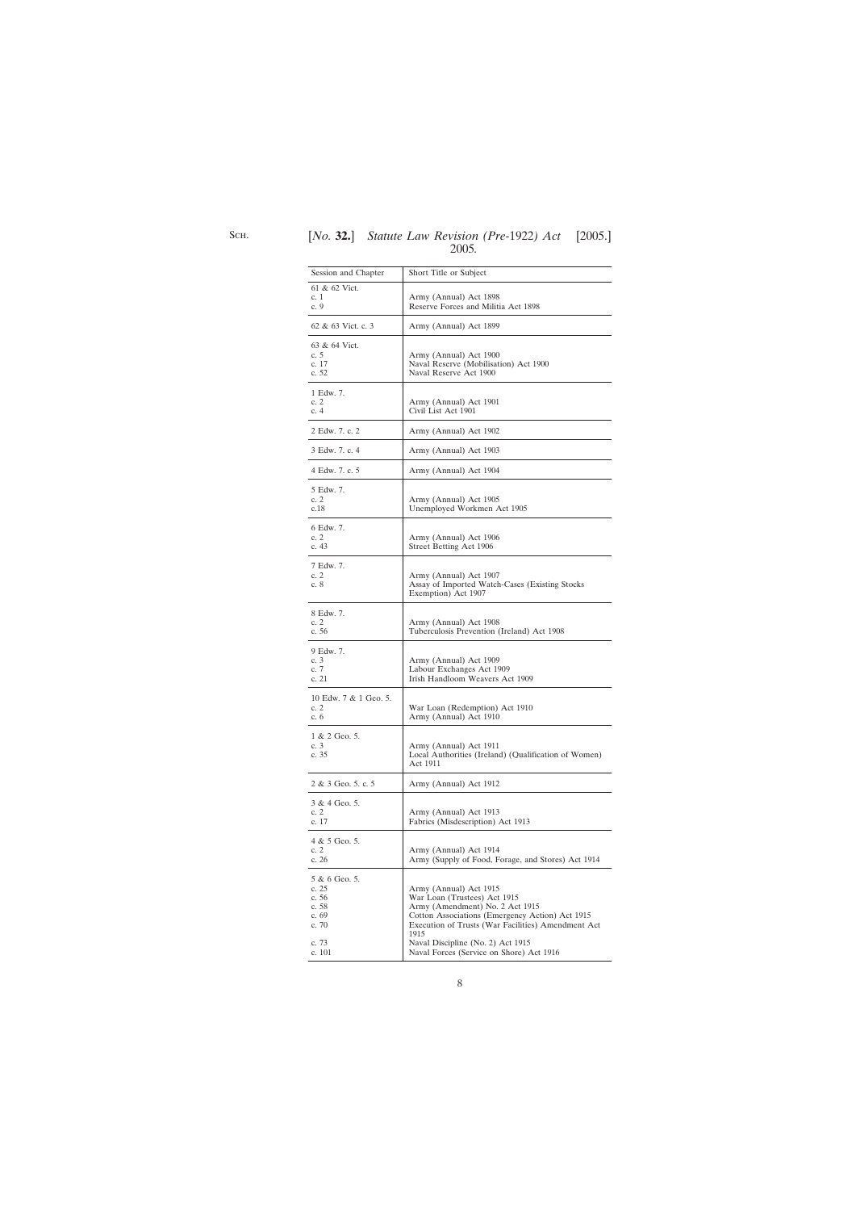| Session and Chapter                                                            | Short Title or Subject                                                                                                                                                                                                                                                                      |
|--------------------------------------------------------------------------------|---------------------------------------------------------------------------------------------------------------------------------------------------------------------------------------------------------------------------------------------------------------------------------------------|
| 61 & 62 Vict.<br>c. 1<br>c. $9$                                                | Army (Annual) Act 1898<br>Reserve Forces and Militia Act 1898                                                                                                                                                                                                                               |
| 62 & 63 Vict. c. 3                                                             | Army (Annual) Act 1899                                                                                                                                                                                                                                                                      |
| 63 & 64 Vict.<br>c. 5<br>c. 17<br>c. 52                                        | Army (Annual) Act 1900<br>Naval Reserve (Mobilisation) Act 1900<br>Naval Reserve Act 1900                                                                                                                                                                                                   |
| 1 Edw. 7.<br>c. $2$<br>c.4                                                     | Army (Annual) Act 1901<br>Civil List Act 1901                                                                                                                                                                                                                                               |
| 2 Edw. 7. c. 2                                                                 | Army (Annual) Act 1902                                                                                                                                                                                                                                                                      |
| 3 Edw. 7. c. 4                                                                 | Army (Annual) Act 1903                                                                                                                                                                                                                                                                      |
| 4 Edw. 7. c. 5                                                                 | Army (Annual) Act 1904                                                                                                                                                                                                                                                                      |
| 5 Edw. 7.<br>c. $2$<br>c.18                                                    | Army (Annual) Act 1905<br>Unemployed Workmen Act 1905                                                                                                                                                                                                                                       |
| 6 Edw. 7.<br>c. $2$<br>c. 43                                                   | Army (Annual) Act 1906<br>Street Betting Act 1906                                                                                                                                                                                                                                           |
| 7 Edw. 7.<br>c. $2$<br>c. 8                                                    | Army (Annual) Act 1907<br>Assay of Imported Watch-Cases (Existing Stocks)<br>Exemption) Act 1907                                                                                                                                                                                            |
| 8 Edw. 7.<br>c. $2$<br>c. 56                                                   | Army (Annual) Act 1908<br>Tuberculosis Prevention (Ireland) Act 1908                                                                                                                                                                                                                        |
| 9 Edw. 7.<br>c. $3$<br>c. $7$<br>c. 21                                         | Army (Annual) Act 1909<br>Labour Exchanges Act 1909<br>Irish Handloom Weavers Act 1909                                                                                                                                                                                                      |
| 10 Edw. 7 & 1 Geo. 5.<br>c. 2<br>c. 6                                          | War Loan (Redemption) Act 1910<br>Army (Annual) Act 1910                                                                                                                                                                                                                                    |
| 1 & 2 Geo. 5.<br>c. $3$<br>c. 35                                               | Army (Annual) Act 1911<br>Local Authorities (Ireland) (Qualification of Women)<br>Act 1911                                                                                                                                                                                                  |
| 2 & 3 Geo. 5. c. 5                                                             | Army (Annual) Act 1912                                                                                                                                                                                                                                                                      |
| 3 & 4 Geo. 5.<br>c. $2$<br>c. 17                                               | Army (Annual) Act 1913<br>Fabrics (Misdescription) Act 1913                                                                                                                                                                                                                                 |
| 4 & 5 Geo. 5.<br>c.2<br>c. 26                                                  | Army (Annual) Act 1914<br>Army (Supply of Food, Forage, and Stores) Act 1914                                                                                                                                                                                                                |
| 5 & 6 Geo. 5.<br>c.25<br>c. 56<br>c. 58<br>c. 69<br>c. $70$<br>c. 73<br>c. 101 | Army (Annual) Act 1915<br>War Loan (Trustees) Act 1915<br>Army (Amendment) No. 2 Act 1915<br>Cotton Associations (Emergency Action) Act 1915<br>Execution of Trusts (War Facilities) Amendment Act<br>1915<br>Naval Discipline (No. 2) Act 1915<br>Naval Forces (Service on Shore) Act 1916 |